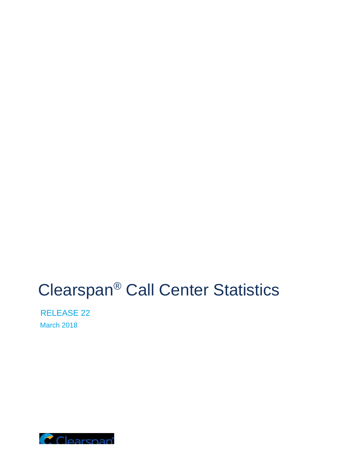# Clearspan® Call Center Statistics

RELEASE 22 March 2018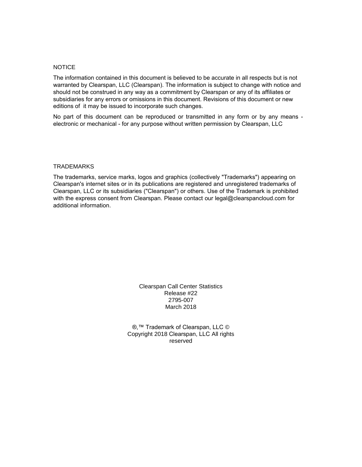#### **NOTICE**

The information contained in this document is believed to be accurate in all respects but is not warranted by Clearspan, LLC (Clearspan). The information is subject to change with notice and should not be construed in any way as a commitment by Clearspan or any of its affiliates or subsidiaries for any errors or omissions in this document. Revisions of this document or new editions of it may be issued to incorporate such changes.

No part of this document can be reproduced or transmitted in any form or by any means electronic or mechanical - for any purpose without written permission by Clearspan, LLC

#### **TRADEMARKS**

The trademarks, service marks, logos and graphics (collectively "Trademarks") appearing on Clearspan's internet sites or in its publications are registered and unregistered trademarks of Clearspan, LLC or its subsidiaries ("Clearspan") or others. Use of the Trademark is prohibited with the express consent from Clearspan. Please contact our legal@clearspancloud.com for additional information.

> Clearspan Call Center Statistics Release #22 2795-007 March 2018

®,<sup>™</sup> Trademark of Clearspan, LLC © Copyright 2018 Clearspan, LLC All rights reserved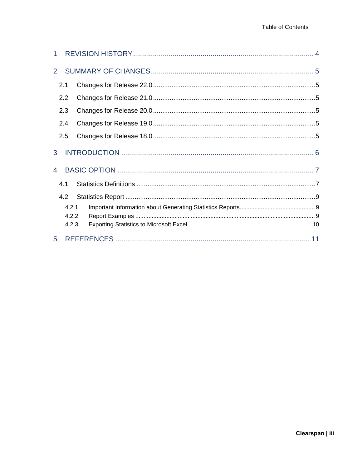| $\mathbf{1}$   |       |  |  |  |  |  |
|----------------|-------|--|--|--|--|--|
| $\overline{2}$ |       |  |  |  |  |  |
|                | 2.1   |  |  |  |  |  |
|                | 2.2   |  |  |  |  |  |
|                | 2.3   |  |  |  |  |  |
|                | 2.4   |  |  |  |  |  |
|                | 2.5   |  |  |  |  |  |
| 3              |       |  |  |  |  |  |
| 4              |       |  |  |  |  |  |
|                | 4.1   |  |  |  |  |  |
|                | 4.2   |  |  |  |  |  |
|                | 4.2.1 |  |  |  |  |  |
|                | 4.2.2 |  |  |  |  |  |
|                | 4.2.3 |  |  |  |  |  |
| 5              |       |  |  |  |  |  |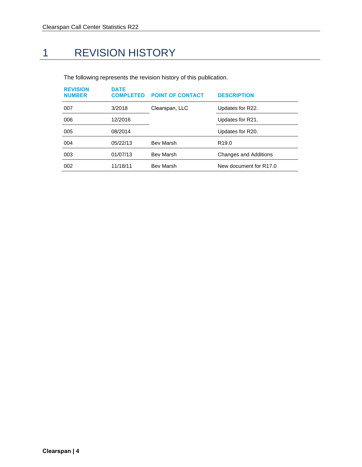# <span id="page-3-0"></span>1 REVISION HISTORY

The following represents the revision history of this publication.

| <b>REVISION</b><br><b>NUMBER</b> | <b>DATE</b><br><b>COMPLETED</b> | <b>POINT OF CONTACT</b> | <b>DESCRIPTION</b>           |
|----------------------------------|---------------------------------|-------------------------|------------------------------|
| 007                              | 3/2018                          | Clearspan, LLC          | Updates for R22.             |
| 006                              | 12/2016                         |                         | Updates for R21.             |
| 005                              | 08/2014                         |                         | Updates for R20.             |
| 004                              | 05/22/13                        | Bev Marsh               | R <sub>19.0</sub>            |
| 003                              | 01/07/13                        | <b>Bev Marsh</b>        | <b>Changes and Additions</b> |
| 002                              | 11/18/11                        | <b>Bev Marsh</b>        | New document for R17.0       |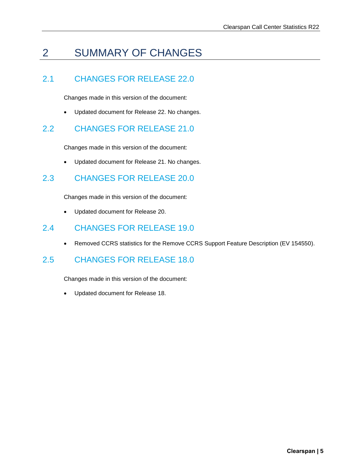# <span id="page-4-0"></span>2 SUMMARY OF CHANGES

# <span id="page-4-1"></span>2.1 CHANGES FOR RELEASE 22.0

Changes made in this version of the document:

• Updated document for Release 22. No changes.

#### <span id="page-4-2"></span>2.2 CHANGES FOR RELEASE 21.0

Changes made in this version of the document:

• Updated document for Release 21. No changes.

# <span id="page-4-3"></span>2.3 CHANGES FOR RELEASE 20.0

Changes made in this version of the document:

• Updated document for Release 20.

#### <span id="page-4-4"></span>2.4 CHANGES FOR RELEASE 19.0

• Removed CCRS statistics for the Remove CCRS Support Feature Description (EV 154550).

# <span id="page-4-5"></span>2.5 CHANGES FOR RELEASE 18.0

Changes made in this version of the document:

• Updated document for Release 18.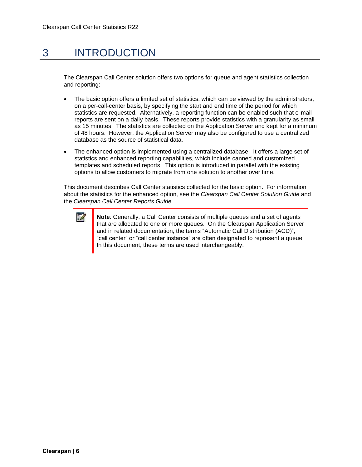# <span id="page-5-0"></span>3 INTRODUCTION

The Clearspan Call Center solution offers two options for queue and agent statistics collection and reporting:

- The basic option offers a limited set of statistics, which can be viewed by the administrators, on a per-call-center basis, by specifying the start and end time of the period for which statistics are requested. Alternatively, a reporting function can be enabled such that e-mail reports are sent on a daily basis. These reports provide statistics with a granularity as small as 15 minutes. The statistics are collected on the Application Server and kept for a minimum of 48 hours. However, the Application Server may also be configured to use a centralized database as the source of statistical data.
- The enhanced option is implemented using a centralized database. It offers a large set of statistics and enhanced reporting capabilities, which include canned and customized templates and scheduled reports. This option is introduced in parallel with the existing options to allow customers to migrate from one solution to another over time.

This document describes Call Center statistics collected for the basic option. For information about the statistics for the enhanced option, see the *Clearspan Call Center Solution Guide* and the *Clearspan Call Center Reports Guide*



**Note**: Generally, a Call Center consists of multiple queues and a set of agents that are allocated to one or more queues. On the Clearspan Application Server and in related documentation, the terms "Automatic Call Distribution (ACD)", "call center" or "call center instance" are often designated to represent a queue. In this document, these terms are used interchangeably.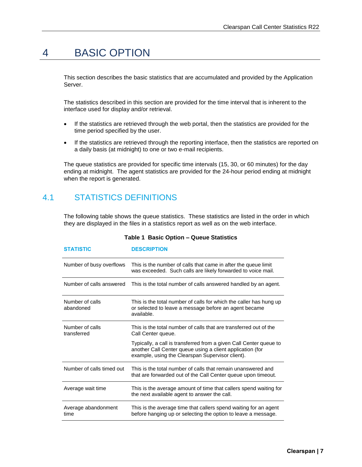# <span id="page-6-0"></span>4 BASIC OPTION

This section describes the basic statistics that are accumulated and provided by the Application Server.

The statistics described in this section are provided for the time interval that is inherent to the interface used for display and/or retrieval.

- If the statistics are retrieved through the web portal, then the statistics are provided for the time period specified by the user.
- If the statistics are retrieved through the reporting interface, then the statistics are reported on a daily basis (at midnight) to one or two e-mail recipients.

The queue statistics are provided for specific time intervals (15, 30, or 60 minutes) for the day ending at midnight. The agent statistics are provided for the 24-hour period ending at midnight when the report is generated.

# <span id="page-6-1"></span>4.1 STATISTICS DEFINITIONS

The following table shows the queue statistics. These statistics are listed in the order in which they are displayed in the files in a statistics report as well as on the web interface.

| <b>STATISTIC</b>               | <b>DESCRIPTION</b>                                                                                                                                                                  |
|--------------------------------|-------------------------------------------------------------------------------------------------------------------------------------------------------------------------------------|
| Number of busy overflows       | This is the number of calls that came in after the queue limit<br>was exceeded. Such calls are likely forwarded to voice mail.                                                      |
| Number of calls answered       | This is the total number of calls answered handled by an agent.                                                                                                                     |
| Number of calls<br>abandoned   | This is the total number of calls for which the caller has hung up<br>or selected to leave a message before an agent became<br>available.                                           |
| Number of calls<br>transferred | This is the total number of calls that are transferred out of the<br>Call Center queue.                                                                                             |
|                                | Typically, a call is transferred from a given Call Center queue to<br>another Call Center queue using a client application (for<br>example, using the Clearspan Supervisor client). |
| Number of calls timed out      | This is the total number of calls that remain unanswered and<br>that are forwarded out of the Call Center queue upon timeout.                                                       |
| Average wait time              | This is the average amount of time that callers spend waiting for<br>the next available agent to answer the call.                                                                   |
| Average abandonment<br>time    | This is the average time that callers spend waiting for an agent<br>before hanging up or selecting the option to leave a message.                                                   |

#### **Table 1 Basic Option – Queue Statistics**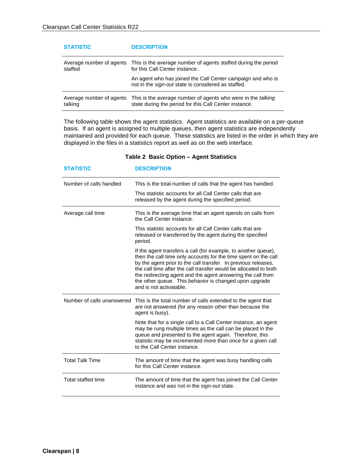| <b>STATISTIC</b>         | <b>DESCRIPTION</b>                                                                                                 |
|--------------------------|--------------------------------------------------------------------------------------------------------------------|
| Average number of agents | This is the average number of agents staffed during the period                                                     |
| staffed                  | for this Call Center instance.                                                                                     |
|                          | An agent who has joined the Call Center campaign and who is<br>not in the sign-out state is considered as staffed. |
| Average number of agents | This is the average number of agents who were in the talking                                                       |
| talking                  | state during the period for this Call Center instance.                                                             |

The following table shows the agent statistics. Agent statistics are available on a per-queue basis. If an agent is assigned to multiple queues, then agent statistics are independently maintained and provided for each queue. These statistics are listed in the order in which they are displayed in the files in a statistics report as well as on the web interface.

| <b>STATISTIC</b>           | <b>DESCRIPTION</b>                                                                                                                                                                                                                                                                                                                                                                                                          |
|----------------------------|-----------------------------------------------------------------------------------------------------------------------------------------------------------------------------------------------------------------------------------------------------------------------------------------------------------------------------------------------------------------------------------------------------------------------------|
| Number of calls handled    | This is the total number of calls that the agent has handled.                                                                                                                                                                                                                                                                                                                                                               |
|                            | This statistic accounts for all Call Center calls that are<br>released by the agent during the specified period.                                                                                                                                                                                                                                                                                                            |
| Average call time          | This is the average time that an agent spends on calls from<br>the Call Center instance.                                                                                                                                                                                                                                                                                                                                    |
|                            | This statistic accounts for all Call Center calls that are<br>released or transferred by the agent during the specified<br>period.                                                                                                                                                                                                                                                                                          |
|                            | If the agent transfers a call (for example, to another queue),<br>then the call time only accounts for the time spent on the call<br>by the agent prior to the call transfer. In previous releases,<br>the call time after the call transfer would be allocated to both<br>the redirecting agent and the agent answering the call from<br>the other queue. This behavior is changed upon upgrade<br>and is not activatable. |
| Number of calls unanswered | This is the total number of calls extended to the agent that<br>are not answered (for any reason other than because the<br>agent is busy).                                                                                                                                                                                                                                                                                  |
|                            | Note that for a single call to a Call Center instance, an agent<br>may be rung multiple times as the call can be placed in the<br>queue and presented to the agent again. Therefore, this<br>statistic may be incremented more than once for a given call<br>to the Call Center instance.                                                                                                                                   |
| <b>Total Talk Time</b>     | The amount of time that the agent was busy handling calls<br>for this Call Center instance.                                                                                                                                                                                                                                                                                                                                 |
| Total staffed time         | The amount of time that the agent has joined the Call Center<br>instance and was not in the sign-out state.                                                                                                                                                                                                                                                                                                                 |
|                            |                                                                                                                                                                                                                                                                                                                                                                                                                             |

#### **Table 2 Basic Option – Agent Statistics**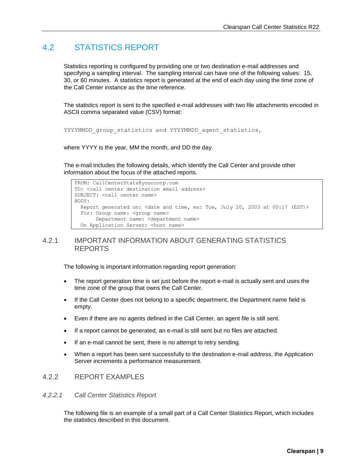### <span id="page-8-0"></span>4.2 STATISTICS REPORT

Statistics reporting is configured by providing one or two destination e-mail addresses and specifying a sampling interval. The sampling interval can have one of the following values: 15, 30, or 60 minutes. A statistics report is generated at the end of each day using the time zone of the Call Center instance as the time reference.

The statistics report is sent to the specified e-mail addresses with two file attachments encoded in ASCII comma separated value (CSV) format:

```
YYYYMMDD group statistics and YYYYMMDD agent statistics,
```
where YYYY is the year, MM the month, and DD the day.

The e-mail includes the following details, which identify the Call Center and provide other information about the focus of the attached reports.

```
FROM: CallCenterStats@yourcorp.com
TO: <call center destination email address>
SUBJECT: < call center name>
BODY: 
   Report generated on: <date and time, ex: Tue, July 20, 2003 at 00:17 (EST)>
   For: Group name: <group name>
       Department name: <department name>
 On Application Server: < host name>
```
#### <span id="page-8-1"></span>4.2.1 IMPORTANT INFORMATION ABOUT GENERATING STATISTICS REPORTS

The following is important information regarding report generation:

- The report generation time is set just before the report e-mail is actually sent and uses the time zone of the group that owns the Call Center.
- If the Call Center does not belong to a specific department, the Department name field is empty.
- Even if there are no agents defined in the Call Center, an agent file is still sent.
- If a report cannot be generated, an e-mail is still sent but no files are attached.
- If an e-mail cannot be sent, there is no attempt to retry sending.
- When a report has been sent successfully to the destination e-mail address, the Application Server increments a performance measurement.

#### <span id="page-8-2"></span>4.2.2 REPORT EXAMPLES

#### *4.2.2.1 Call Center Statistics Report*

The following file is an example of a small part of a Call Center Statistics Report, which includes the statistics described in this document.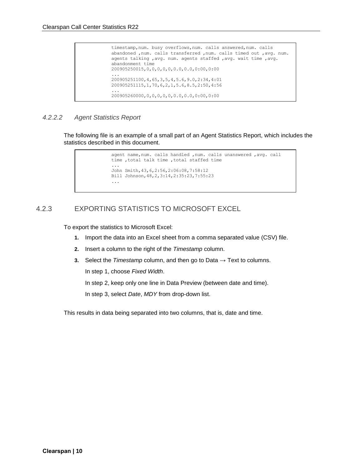timestamp,num. busy overflows,num. calls answered,num. calls abandoned ,num. calls transferred ,num. calls timed out ,avg. num. agents talking ,avg. num. agents staffed ,avg. wait time ,avg. abandonment time 200905250015,0,0,0,0,0,0.0,0.0,0:00,0:00 ... 200905251100,4,65,3,5,4,5.6,9.0,2:34,4:01 200905251115,1,70,6,2,1,5.6,8.5,2:50,4:56 ... 200905260000,0,0,0,0,0,0.0,0.0,0:00,0:00

#### *4.2.2.2 Agent Statistics Report*

The following file is an example of a small part of an Agent Statistics Report, which includes the statistics described in this document.

```
agent name,num. calls handled ,num. calls unanswered ,avg. call 
time ,total talk time ,total staffed time
...
John Smith,43,6,2:56,2:06:08,7:58:12
Bill Johnson,48,2,3:14,2:35:23,7:55:23
...
```
#### <span id="page-9-0"></span>4.2.3 EXPORTING STATISTICS TO MICROSOFT EXCEL

To export the statistics to Microsoft Excel:

- **1.** Import the data into an Excel sheet from a comma separated value (CSV) file.
- **2.** Insert a column to the right of the *Timestamp* column.
- **3.** Select the *Timestamp* column, and then go to Data  $\rightarrow$  Text to columns.

In step 1, choose *Fixed Width*.

In step 2, keep only one line in Data Preview (between date and time).

In step 3, select *Date*, *MDY* from drop-down list.

This results in data being separated into two columns, that is, date and time.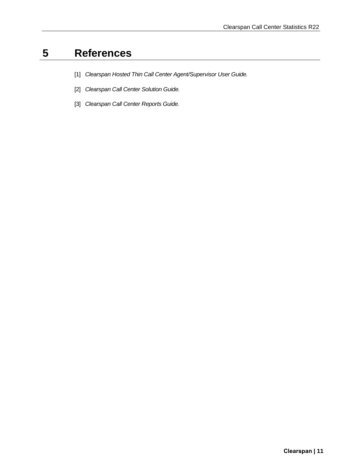# <span id="page-10-0"></span>**5 References**

- [1] *Clearspan Hosted Thin Call Center Agent/Supervisor User Guide.*
- [2] *Clearspan Call Center Solution Guide.*
- [3] *Clearspan Call Center Reports Guide.*